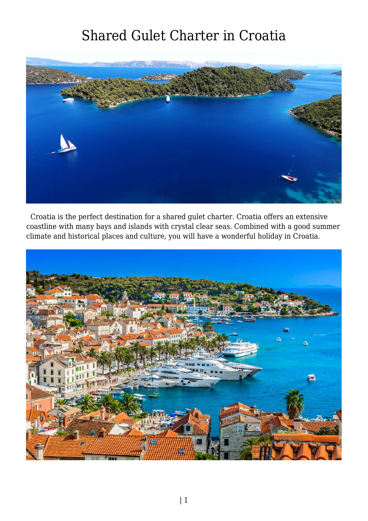## Shared Gulet Charter in Croatia



 Croatia is the perfect destination for a shared gulet charter. Croatia offers an extensive coastline with many bays and islands with crystal clear seas. Combined with a good summer climate and historical places and culture, you will have a wonderful holiday in Croatia.

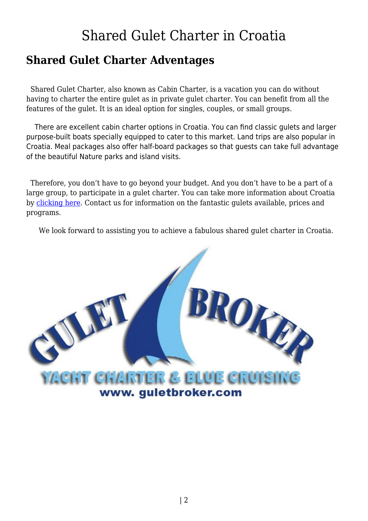## Shared Gulet Charter in Croatia

## **Shared Gulet Charter Adventages**

 Shared Gulet Charter, also known as Cabin Charter, is a vacation you can do without having to charter the entire gulet as in private gulet charter. You can benefit from all the features of the gulet. It is an ideal option for singles, couples, or small groups.

 There are excellent cabin charter options in Croatia. You can find classic gulets and larger purpose-built boats specially equipped to cater to this market. Land trips are also popular in Croatia. Meal packages also offer half-board packages so that guests can take full advantage of the beautiful Nature parks and island visits.

 Therefore, you don't have to go beyond your budget. And you don't have to be a part of a large group, to participate in a gulet charter. You can take more information about Croatia by [clicking here](https://www.guletbroker.com/pages/gulet-charter-in-croatia/). Contact us for information on the fantastic gulets available, prices and programs.

We look forward to assisting you to achieve a fabulous shared gulet charter in Croatia.